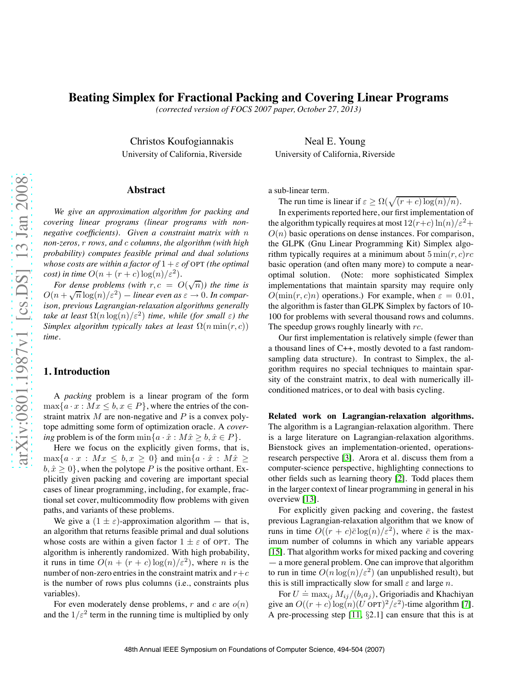## **Beating Simplex for Fractional Packing and Covering Linear Programs**

*(corrected version of FOCS 2007 paper, October 27, 2013)*

Christos Koufogiannakis University of California, Riverside

#### **Abstract**

*We give an approximation algorithm for packing and covering linear programs (linear programs with nonnegative coefficients). Given a constraint matrix with* n *non-zeros,* r *rows, and* c *columns, the algorithm (with high probability) computes feasible primal and dual solutions whose costs are within a factor of*  $1 + \varepsilon$  *of* OPT *(the optimal*) *cost)* in time  $O(n + (r + c) \log(n)/\varepsilon^2)$ .

For dense problems (with  $r, c = O(\sqrt{n})$ ) the time is  $O(n + \sqrt{n}\log(n)/\varepsilon^2)$  — linear even as  $\varepsilon \to 0$ . In compar*ison, previous Lagrangian-relaxation algorithms generally take at least*  $\Omega(n \log(n)/\epsilon^2)$  *time, while (for small*  $\epsilon$ *) the Simplex algorithm typically takes at least*  $\Omega(n \min(r, c))$ *time.*

# **1. Introduction**

A *packing* problem is a linear program of the form  $\max\{a \cdot x : Mx \leq b, x \in P\}$ , where the entries of the constraint matrix  $M$  are non-negative and  $P$  is a convex polytope admitting some form of optimization oracle. A *covering* problem is of the form  $\min\{a \cdot \hat{x} : M\hat{x} \geq b, \hat{x} \in P\}.$ 

Here we focus on the explicitly given forms, that is,  $\max\{a \cdot x : Mx \leq b, x \geq 0\}$  and  $\min\{a \cdot \hat{x} : M\hat{x} \geq 0\}$  $b, \hat{x} \ge 0$ , when the polytope P is the positive orthant. Explicitly given packing and covering are important special cases of linear programming, including, for example, fractional set cover, multicommodity flow problems with given paths, and variants of these problems.

We give a  $(1 \pm \varepsilon)$ -approximation algorithm — that is, an algorithm that returns feasible primal and dual solutions whose costs are within a given factor  $1 \pm \varepsilon$  of OPT. The algorithm is inherently randomized. With high probability, it runs in time  $O(n + (r + c) \log(n)/\varepsilon^2)$ , where *n* is the number of non-zero entries in the constraint matrix and  $r+c$ is the number of rows plus columns (i.e., constraints plus variables).

For even moderately dense problems, r and c are  $o(n)$ and the  $1/\varepsilon^2$  term in the running time is multiplied by only a sub-linear term.

The run time is linear if  $\varepsilon \ge \Omega(\sqrt{(r+c)\log(n)/n})$ .

Neal E. Young University of California, Riverside

In experiments reported here, our first implementation of the algorithm typically requires at most  $12(r+c) \ln(n)/\epsilon^2$ +  $O(n)$  basic operations on dense instances. For comparison, the GLPK (Gnu Linear Programming Kit) Simplex algorithm typically requires at a minimum about  $5 \min(r, c)$ rc basic operation (and often many more) to compute a nearoptimal solution. (Note: more sophisticated Simplex implementations that maintain sparsity may require only  $O(\min(r, c)n)$  operations.) For example, when  $\varepsilon = 0.01$ , the algorithm is faster than GLPK Simplex by factors of 10- 100 for problems with several thousand rows and columns. The speedup grows roughly linearly with  $rc$ .

Our first implementation is relatively simple (fewer than a thousand lines of C++, mostly devoted to a fast randomsampling data structure). In contrast to Simplex, the algorithm requires no special techniques to maintain sparsity of the constraint matrix, to deal with numerically illconditioned matrices, or to deal with basis cycling.

**Related work on Lagrangian-relaxation algorithms.** The algorithm is a Lagrangian-relaxation algorithm. There is a large literature on Lagrangian-relaxation algorithms. Bienstock gives an implementation-oriented, operationsresearch perspective [\[3\]](#page-9-0). Arora et al. discuss them from a computer-science perspective, highlighting connections to other fields such as learning theory [\[2\]](#page-9-1). Todd places them in the larger context of linear programming in general in his overview [\[13\]](#page-9-2).

For explicitly given packing and covering, the fastest previous Lagrangian-relaxation algorithm that we know of runs in time  $O((r + c)\bar{c}\log(n)/\epsilon^2)$ , where  $\bar{c}$  is the maximum number of columns in which any variable appears [\[15\]](#page-9-3). That algorithm works for mixed packing and covering — a more general problem. One can improve that algorithm to run in time  $O(n \log(n)/\epsilon^2)$  (an unpublished result), but this is still impractically slow for small  $\varepsilon$  and large n.

For  $U = \max_{ij} M_{ij}/(b_i a_j)$ , Grigoriadis and Khachiyan give an  $O((r + c) \log(n) (U \text{ OPT})^2 / \varepsilon^2)$ -time algorithm [\[7\]](#page-9-4). A pre-processing step  $[11, §2.1]$  $[11, §2.1]$  can ensure that this is at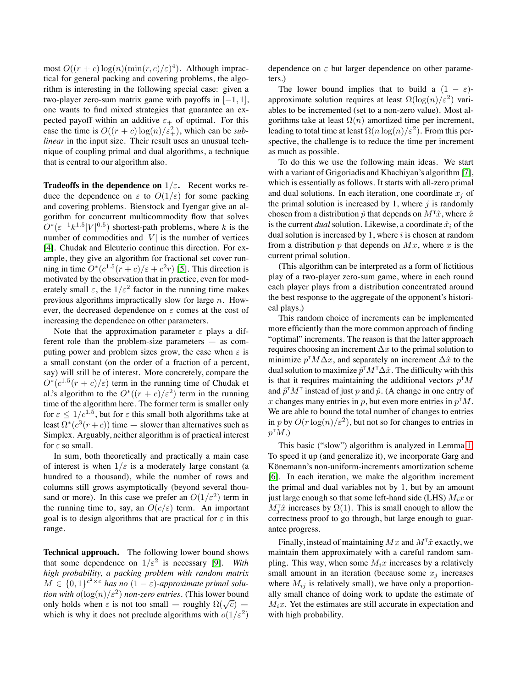most  $O((r + c) \log(n) (\min(r, c) / \varepsilon)^4)$ . Although impractical for general packing and covering problems, the algorithm is interesting in the following special case: given a two-player zero-sum matrix game with payoffs in  $[-1, 1]$ , one wants to find mixed strategies that guarantee an expected payoff within an additive  $\varepsilon_+$  of optimal. For this case the time is  $O((r + c) \log(n) / \varepsilon_+^2)$ , which can be *sublinear* in the input size. Their result uses an unusual technique of coupling primal and dual algorithms, a technique that is central to our algorithm also.

**Tradeoffs in the dependence on**  $1/\varepsilon$ **.** Recent works reduce the dependence on  $\varepsilon$  to  $O(1/\varepsilon)$  for some packing and covering problems. Bienstock and Iyengar give an algorithm for concurrent multicommodity flow that solves  $O<sup>*</sup>(\varepsilon^{-1}k^{1.5}|V|^{0.5})$  shortest-path problems, where k is the number of commodities and  $|V|$  is the number of vertices [\[4\]](#page-9-6). Chudak and Eleuterio continue this direction. For example, they give an algorithm for fractional set cover running in time  $O^*(c^{1.5}(r+c)/\epsilon+c^2r)$  [\[5\]](#page-9-7). This direction is motivated by the observation that in practice, even for moderately small  $\varepsilon$ , the  $1/\varepsilon^2$  factor in the running time makes previous algorithms impractically slow for large  $n$ . However, the decreased dependence on  $\varepsilon$  comes at the cost of increasing the dependence on other parameters.

Note that the approximation parameter  $\varepsilon$  plays a different role than the problem-size parameters — as computing power and problem sizes grow, the case when  $\varepsilon$  is a small constant (on the order of a fraction of a percent, say) will still be of interest. More concretely, compare the  $O^*(c^{1.5}(r+c)/\varepsilon)$  term in the running time of Chudak et al.'s algorithm to the  $O<sup>*</sup>((r + c)/\varepsilon<sup>2</sup>)$  term in the running time of the algorithm here. The former term is smaller only for  $\epsilon \leq 1/c^{1.5}$ , but for  $\epsilon$  this small both algorithms take at least  $\Omega^*(c^3(r+c))$  time — slower than alternatives such as Simplex. Arguably, neither algorithm is of practical interest for  $\varepsilon$  so small.

In sum, both theoretically and practically a main case of interest is when  $1/\varepsilon$  is a moderately large constant (a hundred to a thousand), while the number of rows and columns still grows asymptotically (beyond several thousand or more). In this case we prefer an  $O(1/\varepsilon^2)$  term in the running time to, say, an  $O(c/\varepsilon)$  term. An important goal is to design algorithms that are practical for  $\varepsilon$  in this range.

**Technical approach.** The following lower bound shows that some dependence on  $1/\varepsilon^2$  is necessary [\[9\]](#page-9-8). With *high probability, a packing problem with random matrix*  $M \in \{0,1\}^{c^2 \times c}$  has no  $(1 - \varepsilon)$ -approximate primal solu*tion with*  $o(\log(n)/\epsilon^2)$  *non-zero entries.* (This lower bound only holds when  $\varepsilon$  is not too small — roughly  $\Omega(\sqrt{c})$  which is why it does not preclude algorithms with  $o(1/\varepsilon^2)$ 

dependence on  $\varepsilon$  but larger dependence on other parameters.)

The lower bound implies that to build a  $(1 - \varepsilon)$ approximate solution requires at least  $\Omega(\log(n)/\varepsilon^2)$  variables to be incremented (set to a non-zero value). Most algorithms take at least  $\Omega(n)$  amortized time per increment, leading to total time at least  $\Omega(n \log(n)/\varepsilon^2)$ . From this perspective, the challenge is to reduce the time per increment as much as possible.

To do this we use the following main ideas. We start with a variant of Grigoriadis and Khachiyan's algorithm [\[7\]](#page-9-4), which is essentially as follows. It starts with all-zero primal and dual solutions. In each iteration, one coordinate  $x_i$  of the primal solution is increased by 1, where  $j$  is randomly chosen from a distribution  $\hat{p}$  that depends on  $M^{\dagger}\hat{x}$ , where  $\hat{x}$ is the current *dual* solution. Likewise, a coordinate  $\hat{x}_i$  of the dual solution is increased by 1, where  $i$  is chosen at random from a distribution p that depends on  $Mx$ , where x is the current primal solution.

(This algorithm can be interpreted as a form of fictitious play of a two-player zero-sum game, where in each round each player plays from a distribution concentrated around the best response to the aggregate of the opponent's historical plays.)

This random choice of increments can be implemented more efficiently than the more common approach of finding "optimal" increments. The reason is that the latter approach requires choosing an increment  $\Delta x$  to the primal solution to minimize  $p^{\dagger} M \Delta x$ , and separately an increment  $\Delta \hat{x}$  to the dual solution to maximize  $\hat{p}^\intercal M^\intercal \Delta \hat{x}$ . The difficulty with this is that it requires maintaining the additional vectors  $p<sup>T</sup>M$ and  $\hat{p}^\text{T}M^\text{T}$  instead of just p and  $\hat{p}$ . (A change in one entry of x changes many entries in p, but even more entries in  $p<sup>T</sup>M$ . We are able to bound the total number of changes to entries in p by  $O(r \log(n)/\epsilon^2)$ , but not so for changes to entries in  $p^{\mathsf{T}}M$ .)

This basic ("slow") algorithm is analyzed in Lemma [1.](#page-2-0) To speed it up (and generalize it), we incorporate Garg and Könemann's non-uniform-increments amortization scheme [\[6\]](#page-9-9). In each iteration, we make the algorithm increment the primal and dual variables not by 1, but by an amount just large enough so that some left-hand side (LHS)  $M_i x$  or  $M_j^{\dagger} \hat{x}$  increases by  $\Omega(1)$ . This is small enough to allow the correctness proof to go through, but large enough to guarantee progress.

Finally, instead of maintaining  $Mx$  and  $M^{\dagger}\hat{x}$  exactly, we maintain them approximately with a careful random sampling. This way, when some  $M_i x$  increases by a relatively small amount in an iteration (because some  $x_j$  increases where  $M_{ij}$  is relatively small), we have only a proportionally small chance of doing work to update the estimate of  $M_i x$ . Yet the estimates are still accurate in expectation and with high probability.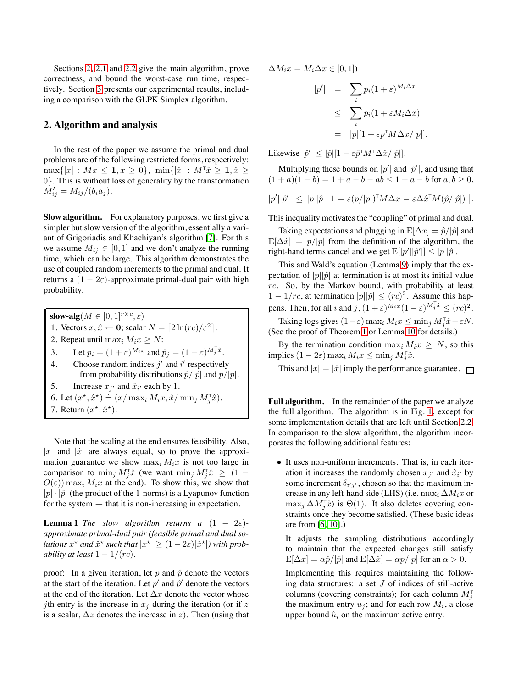Sections [2,](#page-2-1) [2.1](#page-3-0) and [2.2](#page-4-0) give the main algorithm, prove correctness, and bound the worst-case run time, respectively. Section [3](#page-6-0) presents our experimental results, including a comparison with the GLPK Simplex algorithm.

## <span id="page-2-1"></span>**2. Algorithm and analysis**

In the rest of the paper we assume the primal and dual problems are of the following restricted forms, respectively:  $\max\{|x| : Mx \leq 1, x \geq 0\},\ \min\{|\hat{x}| : M^{\mathsf{T}}\hat{x} \geq 1, \hat{x} \geq 1\}$ 0}. This is without loss of generality by the transformation  $M'_{ij} = M_{ij}/(b_i a_j).$ 

**Slow algorithm.** For explanatory purposes, we first give a simpler but slow version of the algorithm, essentially a variant of Grigoriadis and Khachiyan's algorithm [\[7\]](#page-9-4). For this we assume  $M_{ij} \in [0, 1]$  and we don't analyze the running time, which can be large. This algorithm demonstrates the use of coupled random increments to the primal and dual. It returns a  $(1 - 2\varepsilon)$ -approximate primal-dual pair with high probability.

**slow-alg** $(M \in [0, 1]^{r \times c}, \varepsilon)$ 1. Vectors  $x, \hat{x} \leftarrow 0$ ; scalar  $N = \lceil 2 \ln(rc)/\varepsilon^2 \rceil$ . 2. Repeat until  $\max_i M_i x \geq N$ : 3. Let  $p_i \doteq (1 + \varepsilon)^{M_i x}$  and  $\hat{p}_j \doteq (1 - \varepsilon)^{M_j^{\mathrm{T}} \hat{x}}$ . 4. Choose random indices  $j'$  and  $i'$  respectively from probability distributions  $\hat{p}/|\hat{p}|$  and  $p/|p|$ . 5. Increase  $x_{j'}$  and  $\hat{x}_{i'}$  each by 1. 6. Let  $(x^*, \hat{x}^*) \doteq (x/\max_i M_i x, \hat{x}/\min_j M_j^{\dagger} \hat{x}).$ 7. Return  $(x^*, \hat{x}^*)$ .

Note that the scaling at the end ensures feasibility. Also, |x| and  $|\hat{x}|$  are always equal, so to prove the approximation guarantee we show  $\max_i M_i x$  is not too large in comparison to  $\min_j M_j^{\dagger} \hat{x}$  (we want  $\min_j M_j^{\dagger} \hat{x} \geq (1 O(\varepsilon)$ ) max<sub>i</sub>  $M_i x$  at the end). To show this, we show that  $|p| \cdot |\hat{p}|$  (the product of the 1-norms) is a Lyapunov function for the system — that it is non-increasing in expectation.

**Lemma 1** *The slow algorithm returns a*  $(1 - 2\varepsilon)$ *approximate primal-dual pair (feasible primal and dual solutions*  $x^*$  *and*  $\hat{x}^*$  *such that*  $|x^*| \geq (1 - 2\varepsilon)|\hat{x}^*|$ *) with probability at least*  $1 - 1/(rc)$ .

proof: In a given iteration, let  $p$  and  $\hat{p}$  denote the vectors at the start of the iteration. Let  $p'$  and  $\hat{p}'$  denote the vectors at the end of the iteration. Let  $\Delta x$  denote the vector whose jth entry is the increase in  $x_i$  during the iteration (or if z is a scalar,  $\Delta z$  denotes the increase in z). Then (using that

 $\Delta M_i x = M_i \Delta x \in [0,1]$ 

$$
|p'| = \sum_{i} p_i (1 + \varepsilon)^{M_i \Delta x}
$$
  
\n
$$
\leq \sum_{i} p_i (1 + \varepsilon M_i \Delta x)
$$
  
\n
$$
= |p| [1 + \varepsilon p^{\mathsf{T}} M \Delta x / |p|].
$$

Likewise  $|\hat{p}'| \leq |\hat{p}|[1 - \varepsilon \hat{p}^{\mathsf{T}} M^{\mathsf{T}} \Delta \hat{x}/|\hat{p}|].$ 

Multiplying these bounds on  $|p'|$  and  $|\hat{p}'|$ , and using that  $(1 + a)(1 - b) = 1 + a - b - ab \leq 1 + a - b$  for  $a, b \geq 0$ ,

$$
|p'||\hat{p}'| \leq |p||\hat{p}|\big[1 + \varepsilon (p/|p|)^{\mathsf{T}} M \Delta x - \varepsilon \Delta \hat{x}^{\mathsf{T}} M(\hat{p}/|\hat{p}|)\big].
$$

This inequality motivates the "coupling" of primal and dual.

Taking expectations and plugging in  $E[\Delta x]=\hat{p}/|\hat{p}|$  and  $E[\Delta \hat{x}] = p/|p|$  from the definition of the algorithm, the right-hand terms cancel and we get  $E[|p'| | \hat{p}'|] \leq |p| |\hat{p}|$ .

This and Wald's equation (Lemma [9\)](#page-8-0) imply that the expectation of  $|p||\hat{p}|$  at termination is at most its initial value rc. So, by the Markov bound, with probability at least  $1 - 1/rc$ , at termination  $|p||\hat{p}| \leq (rc)^2$ . Assume this happens. Then, for all i and  $j$ ,  $(1+\varepsilon)^{M_i x} (1-\varepsilon)^{M_j^{\intercal} \hat{x}} \leq (r c)^2$ .

Taking logs gives  $(1 - \varepsilon) \max_i M_i x \le \min_j M_j^{\mathsf{T}} \hat{x} + \varepsilon N$ . (See the proof of Theorem [1](#page-3-1) or Lemma [10](#page-8-1) for details.)

By the termination condition  $\max_i M_i x \geq N$ , so this implies  $(1 - 2\varepsilon) \max_i M_i x \le \min_j M_j^{\dagger} \hat{x}$ .

This and  $|x| = |\hat{x}|$  imply the performance guarantee.  $\Box$ 

**Full algorithm.** In the remainder of the paper we analyze the full algorithm. The algorithm is in Fig. [1,](#page-3-2) except for some implementation details that are left until Section [2.2.](#page-4-0) In comparison to the slow algorithm, the algorithm incorporates the following additional features:

<span id="page-2-0"></span>• It uses non-uniform increments. That is, in each iteration it increases the randomly chosen  $x_{j'}$  and  $\hat{x}_{i'}$  by some increment  $\delta_{i'j'}$ , chosen so that the maximum increase in any left-hand side (LHS) (i.e.  $\max_i \Delta M_i x$  or  $\max_j \Delta M_j^{\dagger} \hat{x}$  is  $\Theta(1)$ . It also deletes covering constraints once they become satisfied. (These basic ideas are from [\[6,](#page-9-9) [10\]](#page-9-10).)

It adjusts the sampling distributions accordingly to maintain that the expected changes still satisfy  $E[\Delta x] = \alpha \hat{p}/|\hat{p}|$  and  $E[\Delta \hat{x}] = \alpha p/|p|$  for an  $\alpha > 0$ .

Implementing this requires maintaining the following data structures: a set  $J$  of indices of still-active columns (covering constraints); for each column  $M_j^{\dagger}$ the maximum entry  $u_i$ ; and for each row  $M_i$ , a close upper bound  $\hat{u}_i$  on the maximum active entry.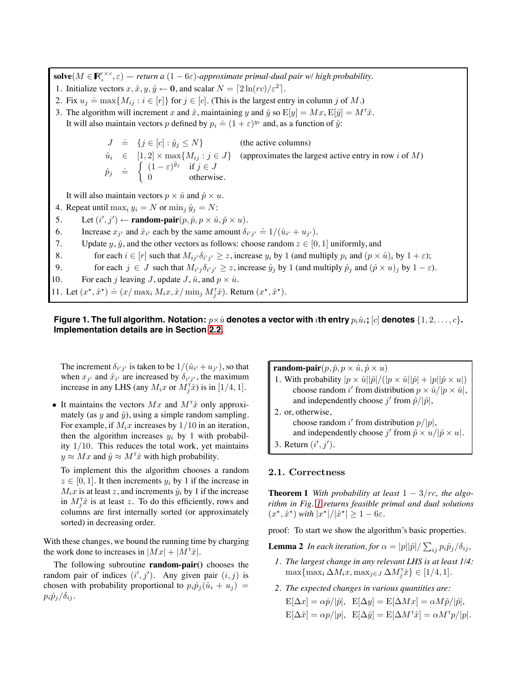$\textbf{solve}(M \in \mathbb{R}_{+}^{r \times c}, \varepsilon)$  — *return a*  $(1 - 6\varepsilon)$ -approximate primal-dual pair w/ high probability.

- 1. Initialize vectors  $x, \hat{x}, y, \hat{y} \leftarrow \mathbf{0}$ , and scalar  $N = \left[2\ln(rc)/\varepsilon^2\right]$ .
- 2. Fix  $u_j = \max\{M_{ij} : i \in [r]\}$  for  $j \in [c]$ . (This is the largest entry in column j of M.)
- 3. The algorithm will increment x and  $\hat{x}$ , maintaining y and  $\hat{y}$  so  $E[y] = Mx$ ,  $E[\hat{y}] = M^{\dagger}\hat{x}$ . It will also maintain vectors p defined by  $p_i \doteq (1 + \varepsilon)^{y_i}$  and, as a function of  $\hat{y}$ :

 $J \doteq {j \in [c]: \hat{y}_j \leq N}$  (the active columns)  $\hat{u}_i \in [1, 2] \times \max\{M_{ij} : j \in J\}$  (approximates the largest active entry in row i of M)  $\hat{p}_j = \begin{cases} (1-\varepsilon)^{\hat{y}_j} & \text{if } j \in J \\ 0 & \text{otherwise} \end{cases}$ 0 otherwise.

It will also maintain vectors  $p \times \hat{u}$  and  $\hat{p} \times u$ .

- <span id="page-3-6"></span>4. Repeat until  $\max_i y_i = N$  or  $\min_j \hat{y}_j = N$ :
- 5. Let  $(i', j') \leftarrow \textbf{random-pair}(p, \hat{p}, p \times \hat{u}, \hat{p} \times u)$ .
- 6. Increase  $x_{j'}$  and  $\hat{x}_{i'}$  each by the same amount  $\delta_{i'j'} = 1/(\hat{u}_{i'} + u_{j'})$ .
- <span id="page-3-3"></span>7. Update *y*,  $\hat{y}$ , and the other vectors as follows: choose random  $z \in [0, 1]$  uniformly, and <br>8. for each  $i \in [r]$  such that  $M_{ij'}\delta_{i'j'} > z$ , increase  $y_i$  by 1 (and multiply  $p_i$  and  $(p \times q_i)$
- <span id="page-3-4"></span>8. for each  $i \in [r]$  such that  $M_{ij'}\delta_{i'j'} \ge z$ , increase  $y_i$  by 1 (and multiply  $p_i$  and  $(p \times \hat{u})_i$  by  $1 + \varepsilon$ );<br>9. for each  $j \in J$  such that  $M_{i'j}\delta_{i'j'} \ge z$ , increase  $\hat{y}_i$  by 1 (and multiply  $\hat{p}_i$  and  $(\hat{p$
- for each  $j \in J$  such that  $M_{i'j} \delta_{i'j'} \geq z$ , increase  $\hat{y}_j$  by 1 (and multiply  $\hat{p}_j$  and  $(\hat{p} \times u)_j$  by  $1 \varepsilon$ ).
- 10. For each j leaving J, update J,  $\hat{u}$ , and  $p \times \hat{u}$ .
- 11. Let  $(x^*, \hat{x}^*) \doteq (x/\max_i M_i x, \hat{x}/\min_j M_j^{\dagger} \hat{x})$ . Return  $(x^*, \hat{x}^*)$ .

<span id="page-3-2"></span>**Figure 1. The full algorithm. Notation:**  $p \times \hat{u}$  denotes a vector with  $i$ th entry  $p_i \hat{u}_i$ ;  $[c]$  denotes  $\{1, 2, \ldots, c\}$ . **Implementation details are in Section [2.2.](#page-4-0)**

The increment  $\delta_{i'j'}$  is taken to be  $1/(\hat{u}_{i'} + u_{j'})$ , so that when  $x_{j'}$  and  $\hat{x}_{i'}$  are increased by  $\delta_{i'j'}$ , the maximum increase in any LHS (any  $M_i x$  or  $M_j^{\dagger} \hat{x}$ ) is in [1/4, 1].

• It maintains the vectors  $Mx$  and  $M^{\dagger}\hat{x}$  only approximately (as y and  $\hat{y}$ ), using a simple random sampling. For example, if  $M_i x$  increases by  $1/10$  in an iteration, then the algorithm increases  $y_i$  by 1 with probability 1/10. This reduces the total work, yet maintains  $y \approx Mx$  and  $\hat{y} \approx M^{\dagger}\hat{x}$  with high probability.

To implement this the algorithm chooses a random  $z \in [0, 1]$ . It then increments  $y_i$  by 1 if the increase in  $M_i x$  is at least z, and increments  $\hat{y}_i$  by 1 if the increase in  $M_j^T\hat{x}$  is at least z. To do this efficiently, rows and columns are first internally sorted (or approximately sorted) in decreasing order.

With these changes, we bound the running time by charging the work done to increases in  $|Mx| + |M^{\dagger}\hat{x}|$ .

The following subroutine **random-pair()** chooses the random pair of indices  $(i', j')$ . Any given pair  $(i, j)$  is chosen with probability proportional to  $p_i \hat{p}_j (\hat{u}_i + u_j) =$  $p_i\hat{p}_j/\delta_{ij}$ .

**random-pair** $(p, \hat{p}, p \times \hat{u}, \hat{p} \times u)$ 1. With probability  $|p \times \hat{u}||\hat{p}|/(|p \times \hat{u}||\hat{p}| + |p||\hat{p} \times u|)$ choose random i' from distribution  $p \times \hat{u}/|p \times \hat{u}|$ , and independently choose  $j'$  from  $\hat{p}/|\hat{p}|$ , 2. or, otherwise, choose random i' from distribution  $p/|p|$ , and independently choose j' from  $\hat{p} \times u/|\hat{p} \times u|$ . 3. Return  $(i', j')$ .

## <span id="page-3-1"></span><span id="page-3-0"></span>2.1. Correctness

**Theorem 1** *With probability at least*  $1 - 3/rc$ *, the algorithm in Fig. [1](#page-3-2) returns feasible primal and dual solutions*  $(x^*, \hat{x}^*)$  *with*  $|x^*|/|\hat{x}^*| \geq 1-6\varepsilon$ .

<span id="page-3-5"></span>proof: To start we show the algorithm's basic properties.

**Lemma 2** *In each iteration, for*  $\alpha = |p||\hat{p}| / \sum_{ij} p_i \hat{p}_j / \delta_{ij}$ *,* 

- *1. The largest change in any relevant LHS is at least 1/4:*  $\max\{\max_i \Delta M_i x, \max_{j\in J} \Delta M_j^{\dagger}\hat{x}\}\in [1/4, 1].$
- *2. The expected changes in various quantities are:*

 $E[\Delta x] = \alpha \hat{p}/|\hat{p}|$ ,  $E[\Delta y] = E[\Delta M x] = \alpha M \hat{p}/|\hat{p}|$ ,  $E[\Delta \hat{x}] = \alpha p/|p|, \ \ E[\Delta \hat{y}] = E[\Delta M^{\dagger} \hat{x}] = \alpha M^{\dagger} p/|p|.$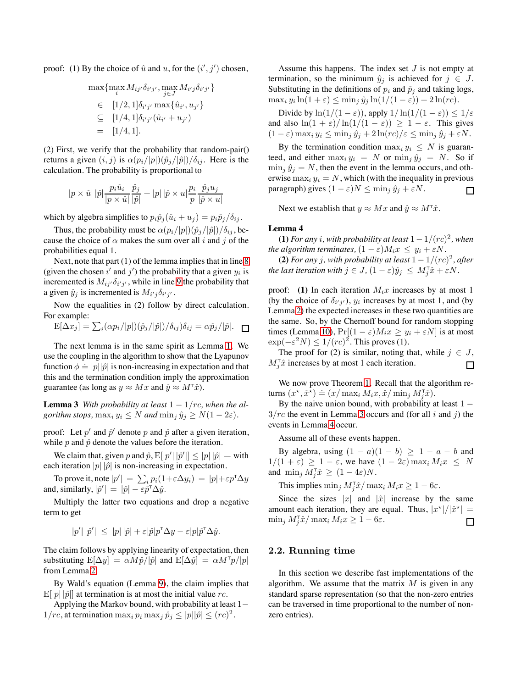proof: (1) By the choice of  $\hat{u}$  and  $u$ , for the  $(i', j')$  chosen,

$$
\max \{ \max_{i} M_{ij'} \delta_{i'j'}, \max_{j \in J} M_{i'j} \delta_{i'j'} \}
$$
  
\n
$$
\in [1/2, 1] \delta_{i'j'} \max \{ \hat{u}_{i'}, u_{j'} \}
$$
  
\n
$$
\subseteq [1/4, 1] \delta_{i'j'} (\hat{u}_{i'} + u_{j'})
$$
  
\n
$$
= [1/4, 1].
$$

(2) First, we verify that the probability that random-pair() returns a given  $(i, j)$  is  $\alpha(p_i/|p|)(\hat{p}_i/|\hat{p}|)/\delta_{ij}$ . Here is the calculation. The probability is proportional to

$$
|p \times \hat{u}| |\hat{p}| \frac{p_i \hat{u}_i}{|p \times \hat{u}|} \frac{\hat{p}_j}{|\hat{p}|} + |p| |\hat{p} \times u| \frac{p_i}{p} \frac{\hat{p}_j u_j}{|\hat{p} \times u|}
$$

which by algebra simplifies to  $p_i \hat{p}_j(\hat{u}_i + u_j) = p_i \hat{p}_j/\delta_{ij}$ .

Thus, the probability must be  $\alpha(p_i/|p|)(\hat{p}_i/|\hat{p}|)/\delta_{ij}$ , because the choice of  $\alpha$  makes the sum over all i and j of the probabilities equal 1.

Next, note that part (1) of the lemma implies that in line [8](#page-3-3) (given the chosen i' and j') the probability that a given  $y_i$  is incremented is  $M_{ij'}\delta_{i'j'}$ , while in line [9](#page-3-4) the probability that a given  $\hat{y}_j$  is incremented is  $M_{i'j} \delta_{i'j'}$ .

Now the equalities in (2) follow by direct calculation. For example:

$$
E[\Delta x_j] = \sum_i (\alpha p_i / |p|) (\hat{p}_j / |\hat{p}|) / \delta_{ij} \delta_{ij} = \alpha \hat{p}_j / |\hat{p}|.
$$

The next lemma is in the same spirit as Lemma [1.](#page-2-0) We use the coupling in the algorithm to show that the Lyapunov function  $\phi = |p||\hat{p}|$  is non-increasing in expectation and that this and the termination condition imply the approximation guarantee (as long as  $y \approx Mx$  and  $\hat{y} \approx M^{\dagger} \hat{x}$ ).

**Lemma 3** *With probability at least*  $1 - 1/rc$ *, when the algorithm stops,*  $\max_i y_i \leq N$  *and*  $\min_j \hat{y}_j \geq N(1 - 2\varepsilon)$ *.* 

proof: Let  $p'$  and  $\hat{p}'$  denote p and  $\hat{p}$  after a given iteration, while  $p$  and  $\hat{p}$  denote the values before the iteration.

We claim that, given p and  $\hat{p}$ ,  $E[|p'| |\hat{p}'|] \leq |p| |\hat{p}|$  — with each iteration  $|p| |\hat{p}|$  is non-increasing in expectation.

To prove it, note  $|p'| = \sum_i p_i(1+\varepsilon \Delta y_i) = |p| + \varepsilon p^{\mathsf{T}} \Delta y$ and, similarly,  $|\hat{p}'| = |\hat{p}| - \varepsilon \hat{p}^\mathsf{T} \Delta \hat{y}$ .

Multiply the latter two equations and drop a negative term to get

$$
|p'|\,|\hat{p}'|\;\leq\;|p|\,|\hat{p}|+\varepsilon|\hat{p}|p^{\scriptscriptstyle\mathsf{T}}\Delta y-\varepsilon|p|\hat{p}^{\scriptscriptstyle\mathsf{T}}\Delta\hat{y}.
$$

The claim follows by applying linearity of expectation, then substituting  $E[\Delta y] = \alpha M \hat{p}/|\hat{p}|$  and  $E[\Delta \hat{y}] = \alpha M^{\dagger} p/|p|$ from Lemma [2.](#page-3-5)

By Wald's equation (Lemma [9\)](#page-8-0), the claim implies that  $E[|p||\hat{p}|]$  at termination is at most the initial value rc.

Applying the Markov bound, with probability at least 1−  $1/rc$ , at termination  $\max_i p_i \max_j \hat{p}_j \leq |p||\hat{p}| \leq (rc)^2$ .

Assume this happens. The index set  $J$  is not empty at termination, so the minimum  $\hat{y}_j$  is achieved for  $j \in J$ . Substituting in the definitions of  $p_i$  and  $\hat{p}_j$  and taking logs,  $\max_i y_i \ln(1+\varepsilon) \leq \min_j \hat{y}_j \ln(1/(1-\varepsilon)) + 2\ln(r_c).$ 

Divide by  $\ln(1/(1 - \varepsilon))$ , apply  $1/\ln(1/(1 - \varepsilon)) \le 1/\varepsilon$ and also  $\ln(1+\varepsilon)/\ln(1/(1-\varepsilon)) \geq 1-\varepsilon$ . This gives  $(1 - \varepsilon) \max_i y_i \leq \min_j \hat{y}_j + 2 \ln(rc)/\varepsilon \leq \min_j \hat{y}_j + \varepsilon N.$ 

By the termination condition  $\max_i y_i \leq N$  is guaranteed, and either  $\max_i y_i = N$  or  $\min_j \hat{y}_j = N$ . So if  $\min_i \hat{y}_i = N$ , then the event in the lemma occurs, and otherwise  $\max_i y_i = N$ , which (with the inequality in previous paragraph) gives  $(1 - \varepsilon)N \le \min_j \hat{y}_j + \varepsilon N$ .  $\square$ 

<span id="page-4-2"></span>Next we establish that  $y \approx Mx$  and  $\hat{y} \approx M^{\dagger}\hat{x}$ .

#### **Lemma 4**

**(1)** *For any i*, with probability at least  $1 - 1/(rc)^2$ , when *the algorithm terminates,*  $(1 - \varepsilon)M_ix \leq y_i + \varepsilon N$ .

**(2)** *For any j*, with probability at least  $1 - 1/(rc)^2$ , after *the last iteration with*  $j \in J$ ,  $(1 - \varepsilon)\hat{y}_j \leq M_j^{\tau}\hat{x} + \varepsilon N$ .

proof: **(1)** In each iteration  $M_i x$  increases by at most 1 (by the choice of  $\delta_{i'j'}$ ),  $y_i$  increases by at most 1, and (by Lemma [2\)](#page-3-5) the expected increases in these two quantities are the same. So, by the Chernoff bound for random stopping times (Lemma [10\)](#page-8-1),  $Pr[(1 - \varepsilon)M_i x \geq y_i + \varepsilon N]$  is at most  $\exp(-\varepsilon^2 N) \le 1/(rc)^2$ . This proves (1).

The proof for (2) is similar, noting that, while  $j \in J$ ,  $M_j^{\dagger} \hat{x}$  increases by at most 1 each iteration. П

<span id="page-4-1"></span>We now prove Theorem [1.](#page-3-1) Recall that the algorithm returns  $(x^*, \hat{x}^*) \doteq (x/\max_i M_i x, \hat{x}/\min_j M_j^{\dagger} \hat{x}).$ 

By the naive union bound, with probability at least  $1 3/rc$  the event in Lemma [3](#page-4-1) occurs and (for all i and j) the events in Lemma [4](#page-4-2) occur.

Assume all of these events happen.

By algebra, using  $(1 - a)(1 - b) > 1 - a - b$  and  $1/(1 + \varepsilon) \geq 1 - \varepsilon$ , we have  $(1 - 2\varepsilon) \max_i M_i x \leq N$ and  $\min_j M_j^{\dagger} \hat{x} \geq (1 - 4\varepsilon)N$ .

This implies  $\min_j M_j^{\dagger} \hat{x}/\max_i M_i x \geq 1-6\varepsilon$ .

Since the sizes  $|x|$  and  $|\hat{x}|$  increase by the same amount each iteration, they are equal. Thus,  $|x^*|/|\hat{x}^*|$  =  $\min_j M_j^{\dagger} \hat{x} / \max_i M_i x \geq 1 - 6\varepsilon.$  $\Box$ 

#### <span id="page-4-0"></span>2.2. Running time

In this section we describe fast implementations of the algorithm. We assume that the matrix  $M$  is given in any standard sparse representation (so that the non-zero entries can be traversed in time proportional to the number of nonzero entries).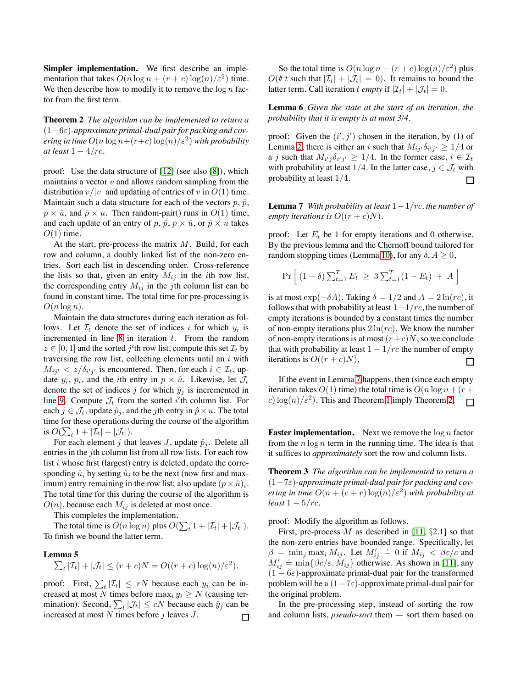**Simpler implementation.** We first describe an implementation that takes  $O(n \log n + (r + c) \log(n)/\varepsilon^2)$  time. We then describe how to modify it to remove the  $\log n$  factor from the first term.

<span id="page-5-1"></span>**Theorem 2** *The algorithm can be implemented to return a* (1−6ε)*-approximate primal-dual pair for packing and covering in time*  $O(n \log n + (r+c) \log(n)/\epsilon^2)$  *with probability at least*  $1 - 4/rc$ *.* 

proof: Use the data structure of [\[12\]](#page-9-11) (see also [\[8\]](#page-9-12)), which maintains a vector  $v$  and allows random sampling from the distribution  $v/|v|$  and updating of entries of v in  $O(1)$  time. Maintain such a data structure for each of the vectors  $p, \hat{p}$ ,  $p \times \hat{u}$ , and  $\hat{p} \times u$ . Then random-pair() runs in  $O(1)$  time, and each update of an entry of p,  $\hat{p}$ ,  $p \times \hat{u}$ , or  $\hat{p} \times u$  takes  $O(1)$  time.

At the start, pre-process the matrix  $M$ . Build, for each row and column, a doubly linked list of the non-zero entries. Sort each list in descending order. Cross-reference the lists so that, given an entry  $M_{ij}$  in the *i*th row list, the corresponding entry  $M_{ij}$  in the jth column list can be found in constant time. The total time for pre-processing is  $O(n \log n)$ .

Maintain the data structures during each iteration as follows. Let  $\mathcal{I}_t$  denote the set of indices i for which  $y_i$  is incremented in line  $8$  in iteration  $t$ . From the random  $z \in [0, 1]$  and the sorted j'th row list, compute this set  $\mathcal{I}_t$  by traversing the row list, collecting elements until an  $i$  with  $M_{ij'} < z/\delta_{i'j'}$  is encountered. Then, for each  $i \in \mathcal{I}_t$ , update  $y_i$ ,  $p_i$ , and the *i*th entry in  $p \times \hat{u}$ . Likewise, let  $\mathcal{J}_t$ denote the set of indices j for which  $\hat{y}_j$  is incremented in line [9.](#page-3-4) Compute  $\mathcal{J}_t$  from the sorted i'th column list. For each  $j \in \mathcal{J}_t$ , update  $\hat{p}_i$ , and the *j*th entry in  $\hat{p} \times u$ . The total time for these operations during the course of the algorithm is  $O(\sum_t 1 + |\mathcal{I}_t| + |\mathcal{J}_t|).$ 

For each element j that leaves J, update  $\hat{p}_i$ . Delete all entries in the  $j$ th column list from all row lists. For each row list  $i$  whose first (largest) entry is deleted, update the corresponding  $\hat{u}_i$  by setting  $\hat{u}_i$  to be the next (now first and maximum) entry remaining in the row list; also update  $(p \times \hat{u})_i$ . The total time for this during the course of the algorithm is  $O(n)$ , because each  $M_{ij}$  is deleted at most once.

This completes the implementation.

The total time is  $O(n \log n)$  plus  $O(\sum_t 1 + |\mathcal{I}_t| + |\mathcal{J}_t|)$ . To finish we bound the latter term.

#### **Lemma 5**

 $\sum_{t} |\mathcal{I}_{t}| + |\mathcal{J}_{t}| \leq (r+c)N = O((r+c)\log(n)/\varepsilon^{2}).$ 

proof: First,  $\sum_{t} |\mathcal{I}_t| \leq rN$  because each  $y_i$  can be increased at most N times before  $\max_i y_i \geq N$  (causing termination). Second,  $\sum_{t} |\mathcal{J}_t| \leq cN$  because each  $\hat{y}_j$  can be increased at most  $N$  times before  $j$  leaves  $J$ .  $\Box$ 

So the total time is  $O(n \log n + (r + c) \log(n)/\epsilon^2)$  plus  $O(\# t \text{ such that } |\mathcal{I}_t| + |\mathcal{J}_t| = 0)$ . It remains to bound the latter term. Call iteration t *empty* if  $|\mathcal{I}_t| + |\mathcal{J}_t| = 0$ .

**Lemma 6** *Given the state at the start of an iteration, the probability that it is empty is at most 3/4.*

proof: Given the  $(i', j')$  chosen in the iteration, by (1) of Lemma [2,](#page-3-5) there is either an i such that  $M_{ij'}\delta_{i'j'} \geq 1/4$  or a j such that  $M_{i'j} \delta_{i'j'} \geq 1/4$ . In the former case,  $i \in \mathcal{I}_t$ with probability at least 1/4. In the latter case,  $j \in \mathcal{J}_t$  with probability at least 1/4.  $\Box$ 

<span id="page-5-0"></span>**Lemma 7** *With probability at least*  $1 - 1/rc$ *, the number of empty iterations is*  $O((r + c)N)$ *.* 

proof: Let  $E_t$  be 1 for empty iterations and 0 otherwise. By the previous lemma and the Chernoff bound tailored for random stopping times (Lemma [10\)](#page-8-1), for any  $\delta$ ,  $A \geq 0$ ,

$$
\Pr\left[ (1 - \delta) \sum_{t=1}^{T} E_t \ge 3 \sum_{t=1}^{T} (1 - E_t) + A \right]
$$

is at most  $\exp(-\delta A)$ . Taking  $\delta = 1/2$  and  $A = 2 \ln(rc)$ , it follows that with probability at least  $1-1/rc$ , the number of empty iterations is bounded by a constant times the number of non-empty iterations plus  $2 \ln (r c)$ . We know the number of non-empty iterations is at most  $(r+c)N$ , so we conclude that with probability at least  $1 - 1/rc$  the number of empty iterations is  $O((r+c)N)$ .  $\Box$ 

If the event in Lemma [7](#page-5-0) happens, then (since each empty iteration takes  $O(1)$  time) the total time is  $O(n \log n + (r +$ c)  $\log(n)/\varepsilon^2$ . This and Theorem [1](#page-3-1) imply Theorem [2.](#page-5-1)  $\Box$ 

**Faster implementation.** Next we remove the  $\log n$  factor from the  $n \log n$  term in the running time. The idea is that it suffices to *approximately* sort the row and column lists.

<span id="page-5-3"></span>**Theorem 3** *The algorithm can be implemented to return a* (1−7ε)*-approximate primal-dual pair for packing and covering in time*  $O(n + (c + r) \log(n)/\epsilon^2)$  *with probability at*  $least 1-5/rc.$ 

proof: Modify the algorithm as follows.

<span id="page-5-2"></span>First, pre-process M as described in [\[11,](#page-9-5)  $\S 2.1$ ] so that the non-zero entries have bounded range. Specifically, let  $\beta = \min_j \max_i M_{ij}$ . Let  $M'_{ij} \doteq 0$  if  $M_{ij} < \beta \varepsilon/c$  and  $M'_{ij} = \min\{\beta c/\varepsilon, M_{ij}\}\$  otherwise. As shown in [\[11\]](#page-9-5), any  $(1 - 6\varepsilon)$ -approximate primal-dual pair for the transformed problem will be a  $(1-7\varepsilon)$ -approximate primal-dual pair for the original problem.

In the pre-processing step, instead of sorting the row and column lists, *pseudo-sort* them — sort them based on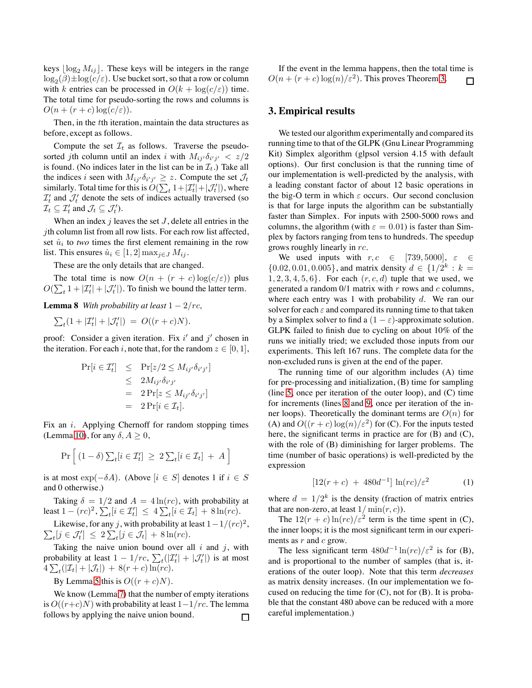keys  $|\log_2 M_{ij}|$ . These keys will be integers in the range  $\log_2(\beta) \pm \log(c/\varepsilon)$ . Use bucket sort, so that a row or column with k entries can be processed in  $O(k + \log(c/\varepsilon))$  time. The total time for pseudo-sorting the rows and columns is  $O(n + (r + c) \log(c/\varepsilon)).$ 

Then, in the tth iteration, maintain the data structures as before, except as follows.

Compute the set  $\mathcal{I}_t$  as follows. Traverse the pseudosorted jth column until an index i with  $M_{ij'}\delta_{i'j'} < z/2$ is found. (No indices later in the list can be in  $\mathcal{I}_t$ .) Take all the indices i seen with  $M_{ij'}\delta_{i'j'} \geq z$ . Compute the set  $\mathcal{J}_t$ similarly. Total time for this is  $O(\sum_t 1+|\mathcal{I}'_t|+|\mathcal{J}'_t|)$ , where  $\mathcal{I}'_t$  and  $\mathcal{I}'_t$  denote the sets of indices actually traversed (so  $\mathcal{I}_t \subseteq \mathcal{I}'_t$  and  $\mathcal{J}_t \subseteq \mathcal{J}'_t$ ).

When an index  $j$  leaves the set  $J$ , delete all entries in the *i*th column list from all row lists. For each row list affected, set  $\hat{u}_i$  to *two* times the first element remaining in the row list. This ensures  $\hat{u}_i \in [1, 2] \max_{j \in J} M_{ij}$ .

These are the only details that are changed.

The total time is now  $O(n + (r + c) \log(c/\varepsilon))$  plus  $O(\sum_t 1 + |\mathcal{I}'_t| + |\mathcal{J}'_t|)$ . To finish we bound the latter term.

**Lemma 8** *With probability at least*  $1 - 2/rc$ *,* 

$$
\sum_t (1+|\mathcal{I}'_t|+|\mathcal{J}'_t|) = O((r+c)N).
$$

proof: Consider a given iteration. Fix  $i'$  and  $j'$  chosen in the iteration. For each i, note that, for the random  $z \in [0, 1]$ ,

$$
Pr[i \in \mathcal{I}'_t] \le Pr[z/2 \le M_{ij'}\delta_{i'j'}]
$$
  
\n
$$
\le 2M_{ij'}\delta_{i'j'}
$$
  
\n
$$
= 2Pr[z \le M_{ij'}\delta_{i'j'}]
$$
  
\n
$$
= 2Pr[i \in \mathcal{I}_t].
$$

Fix an *i*. Applying Chernoff for random stopping times (Lemma [10\)](#page-8-1), for any  $\delta, A \geq 0$ ,

$$
\Pr\left[\left(1-\delta\right)\sum_{t}[i\in\mathcal{I}'_t]\,\geq\,2\sum_{t}[i\in\mathcal{I}_t]\,+\,A\,\right]
$$

is at most exp( $-\delta A$ ). (Above [ $i \in S$ ] denotes 1 if  $i \in S$ and 0 otherwise.)

Taking  $\delta = 1/2$  and  $A = 4 \ln (r c)$ , with probability at least  $1 - (rc)^2$ ,  $\sum_{t} [i \in \mathcal{I}'_t] \le 4 \sum_{t} [i \in \mathcal{I}_t] + 8 \ln (rc)$ .

Likewise, for any j, with probability at least  $1-1/(rc)^2$ ,<br>  $\sum_t [j \in \mathcal{J}_t'] \leq 2 \sum_t [j \in \mathcal{J}_t] + 8 \ln(rc)$ .  $t_t[j \in \mathcal{J}_t'] \leq 2 \sum_t[j \in \mathcal{J}_t] + 8 \ln(rc).$ 

Taking the naive union bound over all  $i$  and  $j$ , with probability at least  $1 - 1/rc$ ,  $\sum_{t}(|\mathcal{I}'_t| + |\mathcal{J}'_t|)$  is at most  $4\sum_{t}(|\mathcal{I}_{t}|+|\mathcal{J}_{t}|)+8(r+c)\ln(rc).$ 

By Lemma [5](#page-5-2) this is  $O((r + c)N)$ .

We know (Lemma [7\)](#page-5-0) that the number of empty iterations is  $O((r+c)N)$  with probability at least  $1-1/rc$ . The lemma follows by applying the naive union bound.  $\Box$ 

If the event in the lemma happens, then the total time is  $O(n + (r + c) \log(n)/\varepsilon^2)$ . This proves Theorem [3.](#page-5-3)  $\Box$ 

### <span id="page-6-0"></span>**3. Empirical results**

We tested our algorithm experimentally and compared its running time to that of the GLPK (Gnu Linear Programming Kit) Simplex algorithm (glpsol version 4.15 with default options). Our first conclusion is that the running time of our implementation is well-predicted by the analysis, with a leading constant factor of about 12 basic operations in the big-O term in which  $\varepsilon$  occurs. Our second conclusion is that for large inputs the algorithm can be substantially faster than Simplex. For inputs with 2500-5000 rows and columns, the algorithm (with  $\varepsilon = 0.01$ ) is faster than Simplex by factors ranging from tens to hundreds. The speedup grows roughly linearly in rc.

We used inputs with  $r, c \in [739, 5000], \varepsilon \in$  $\{0.02, 0.01, 0.005\}$ , and matrix density  $d \in \{1/2^k : k =$  $1, 2, 3, 4, 5, 6$ . For each  $(r, c, d)$  tuple that we used, we generated a random  $0/1$  matrix with r rows and c columns, where each entry was 1 with probability  $d$ . We ran our solver for each  $\varepsilon$  and compared its running time to that taken by a Simplex solver to find a  $(1 - \varepsilon)$ -approximate solution. GLPK failed to finish due to cycling on about 10% of the runs we initially tried; we excluded those inputs from our experiments. This left 167 runs. The complete data for the non-excluded runs is given at the end of the paper.

The running time of our algorithm includes (A) time for pre-processing and initialization, (B) time for sampling (line [5,](#page-3-6) once per iteration of the outer loop), and (C) time for increments (lines [8](#page-3-3) and [9,](#page-3-4) once per iteration of the inner loops). Theoretically the dominant terms are  $O(n)$  for (A) and  $O((r + c) \log(n)/\varepsilon^2)$  for (C). For the inputs tested here, the significant terms in practice are for (B) and (C), with the role of (B) diminishing for larger problems. The time (number of basic operations) is well-predicted by the expression

<span id="page-6-1"></span>
$$
[12(r+c) + 480d^{-1}] \ln(rc)/\varepsilon^2 \tag{1}
$$

where  $d = 1/2^k$  is the density (fraction of matrix entries that are non-zero, at least  $1/\min(r, c)$ ).

The  $12(r + c) \ln(rc)/\varepsilon^2$  term is the time spent in (C), the inner loops; it is the most significant term in our experiments as  $r$  and  $c$  grow.

The less significant term  $480d^{-1}\ln$  $rc$ / $\varepsilon^2$  is for (B), and is proportional to the number of samples (that is, iterations of the outer loop). Note that this term *decreases* as matrix density increases. (In our implementation we focused on reducing the time for  $(C)$ , not for  $(B)$ . It is probable that the constant 480 above can be reduced with a more careful implementation.)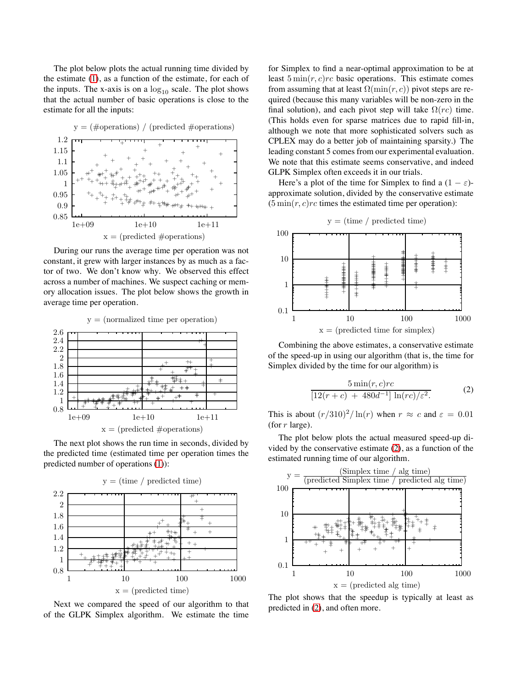The plot below plots the actual running time divided by the estimate [\(1\)](#page-6-1), as a function of the estimate, for each of the inputs. The x-axis is on a  $log_{10}$  scale. The plot shows that the actual number of basic operations is close to the estimate for all the inputs:



During our runs the average time per operation was not constant, it grew with larger instances by as much as a factor of two. We don't know why. We observed this effect across a number of machines. We suspect caching or memory allocation issues. The plot below shows the growth in average time per operation.



The next plot shows the run time in seconds, divided by the predicted time (estimated time per operation times the predicted number of operations [\(1\)](#page-6-1)):



Next we compared the speed of our algorithm to that of the GLPK Simplex algorithm. We estimate the time

for Simplex to find a near-optimal approximation to be at least  $5 \min(r, c)$ rc basic operations. This estimate comes from assuming that at least  $\Omega(\min(r, c))$  pivot steps are required (because this many variables will be non-zero in the final solution), and each pivot step will take  $\Omega(rc)$  time. (This holds even for sparse matrices due to rapid fill-in, although we note that more sophisticated solvers such as CPLEX may do a better job of maintaining sparsity.) The leading constant 5 comes from our experimental evaluation. We note that this estimate seems conservative, and indeed GLPK Simplex often exceeds it in our trials.

Here's a plot of the time for Simplex to find a  $(1 - \varepsilon)$ approximate solution, divided by the conservative estimate  $(5 \min(r, c)r c$  times the estimated time per operation):



Combining the above estimates, a conservative estimate of the speed-up in using our algorithm (that is, the time for Simplex divided by the time for our algorithm) is

<span id="page-7-0"></span>
$$
\frac{5\min(r,c)rc}{[12(r+c) + 480d^{-1}] \ln(rc)/\varepsilon^2}.
$$
 (2)

This is about  $\left(\frac{r}{310}\right)^2/\ln(r)$  when  $r \approx c$  and  $\varepsilon = 0.01$ (for  $r$  large).

The plot below plots the actual measured speed-up divided by the conservative estimate [\(2\)](#page-7-0), as a function of the estimated running time of our algorithm.



The plot shows that the speedup is typically at least as predicted in [\(2\)](#page-7-0), and often more.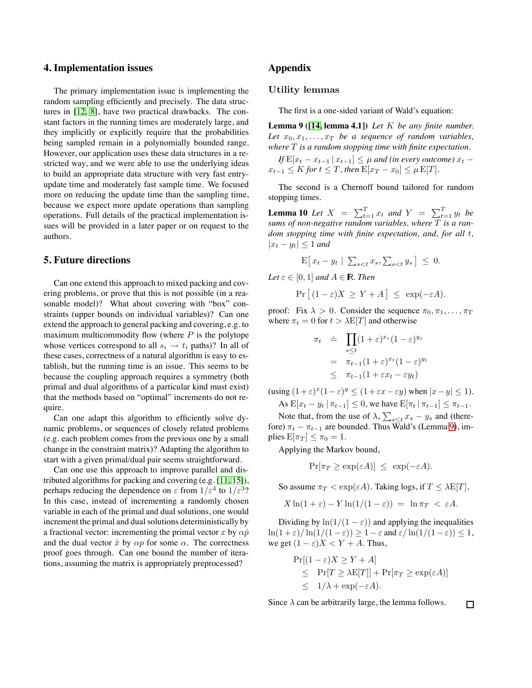#### **4. Implementation issues**

The primary implementation issue is implementing the random sampling efficiently and precisely. The data structures in [\[12,](#page-9-11) [8\]](#page-9-12), have two practical drawbacks. The constant factors in the running times are moderately large, and they implicitly or explicitly require that the probabilities being sampled remain in a polynomially bounded range. However, our application uses these data structures in a restricted way, and we were able to use the underlying ideas to build an appropriate data structure with very fast entryupdate time and moderately fast sample time. We focused more on reducing the update time than the sampling time, because we expect more update operations than sampling operations. Full details of the practical implementation issues will be provided in a later paper or on request to the authors.

# **5. Future directions**

Can one extend this approach to mixed packing and covering problems, or prove that this is not possible (in a reasonable model)? What about covering with "box" constraints (upper bounds on individual variables)? Can one extend the approach to general packing and covering, e.g. to maximum multicommodity flow (where  $P$  is the polytope whose vertices correspond to all  $s_i \rightarrow t_i$  paths)? In all of these cases, correctness of a natural algorithm is easy to establish, but the running time is an issue. This seems to be because the coupling approach requires a symmetry (both primal and dual algorithms of a particular kind must exist) that the methods based on "optimal" increments do not require.

Can one adapt this algorithm to efficiently solve dynamic problems, or sequences of closely related problems (e.g. each problem comes from the previous one by a small change in the constraint matrix)? Adapting the algorithm to start with a given primal/dual pair seems straightforward.

Can one use this approach to improve parallel and distributed algorithms for packing and covering (e.g. [\[11,](#page-9-5) [15\]](#page-9-3)), perhaps reducing the dependence on  $\varepsilon$  from  $1/\varepsilon^4$  to  $1/\varepsilon^3$ ? In this case, instead of incrementing a randomly chosen variable in each of the primal and dual solutions, one would increment the primal and dual solutions deterministically by a fractional vector: incrementing the primal vector x by  $\alpha \hat{p}$ and the dual vector  $\hat{x}$  by  $\alpha p$  for some  $\alpha$ . The correctness proof goes through. Can one bound the number of iterations, assuming the matrix is appropriately preprocessed?

## **Appendix**

## Utility lemmas

<span id="page-8-0"></span>The first is a one-sided variant of Wald's equation:

**Lemma 9 ([\[14,](#page-9-13) lemma 4.1])** *Let* K *be any finite number.* Let  $x_0, x_1, \ldots, x_T$  *be a sequence of random variables, where* T *is a random stopping time with finite expectation.*

*If*  $E[x_t - x_{t-1} | x_{t-1}] \leq \mu$  *and (in every outcome)*  $x_t$  –  $x_{t-1}$  ≤ *K for*  $t$  ≤ *T*, *then*  $E[x_T - x_0]$  ≤  $\mu E[T]$ *.* 

<span id="page-8-1"></span>The second is a Chernoff bound tailored for random stopping times.

**Lemma 10** *Let*  $X = \sum_{t=1}^{T} x_t$  *and*  $Y = \sum_{t=1}^{T} y_t$  *be sums of non-negative random variables, where* T *is a random stopping time with finite expectation, and, for all* t*,*  $|x_t - y_t| \leq 1$  *and* 

$$
\mathbf{E}\big[\,x_t - y_t \mid \, \sum_{s < t} x_s, \sum_{s < t} y_s \,\big] \,\leq\, 0.
$$

*Let*  $\varepsilon \in [0,1]$  *and*  $A \in \mathbb{R}$ *. Then* 

$$
\Pr [(1 - \varepsilon)X \ge Y + A] \le \exp(-\varepsilon A).
$$

proof: Fix  $\lambda > 0$ . Consider the sequence  $\pi_0, \pi_1, \ldots, \pi_T$ where  $\pi_t = 0$  for  $t > \lambda E[T]$  and otherwise

$$
\pi_t \stackrel{\cdot}{=} \prod_{s \le t} (1 + \varepsilon)^{x_s} (1 - \varepsilon)^{y_s}
$$
\n
$$
= \pi_{t-1} (1 + \varepsilon)^{x_t} (1 - \varepsilon)^{y_t}
$$
\n
$$
\le \pi_{t-1} (1 + \varepsilon x_t - \varepsilon y_t)
$$

(using  $(1+\varepsilon)^x(1-\varepsilon)^y \le (1+\varepsilon x - \varepsilon y)$  when  $|x-y| \le 1$ ). As  $E[x_t - y_t | \pi_{t-1}] \leq 0$ , we have  $E[\pi_t | \pi_{t-1}] \leq \pi_{t-1}$ .

Note that, from the use of  $\lambda$ ,  $\sum_{s \leq t} x_s - y_s$  and (therefore)  $\pi_t - \pi_{t-1}$  are bounded. Thus Wald's (Lemma [9\)](#page-8-0), implies  $E[\pi_T] \leq \pi_0 = 1$ .

Applying the Markov bound,

$$
\Pr[\pi_T \ge \exp(\varepsilon A)] \le \exp(-\varepsilon A).
$$

So assume  $\pi_T < \exp(\varepsilon A)$ . Taking logs, if  $T \le \lambda E[T]$ ,

 $X \ln(1+\varepsilon) - Y \ln(1/(1-\varepsilon)) = \ln \pi T < \varepsilon A$ .

Dividing by  $\ln(1/(1 - \varepsilon))$  and applying the inequalities  $\ln(1+\varepsilon)/\ln(1/(1-\varepsilon)) \geq 1-\varepsilon$  and  $\varepsilon/\ln(1/(1-\varepsilon)) \leq 1$ , we get  $(1 - \varepsilon)X < Y + A$ . Thus,

$$
\Pr[(1 - \varepsilon)X \ge Y + A] \le \Pr[T \ge \lambda \mathbb{E}[T]] + \Pr[\pi_T \ge \exp(\varepsilon A)] \le 1/\lambda + \exp(-\varepsilon A).
$$

 $\Box$ 

Since  $\lambda$  can be arbitrarily large, the lemma follows.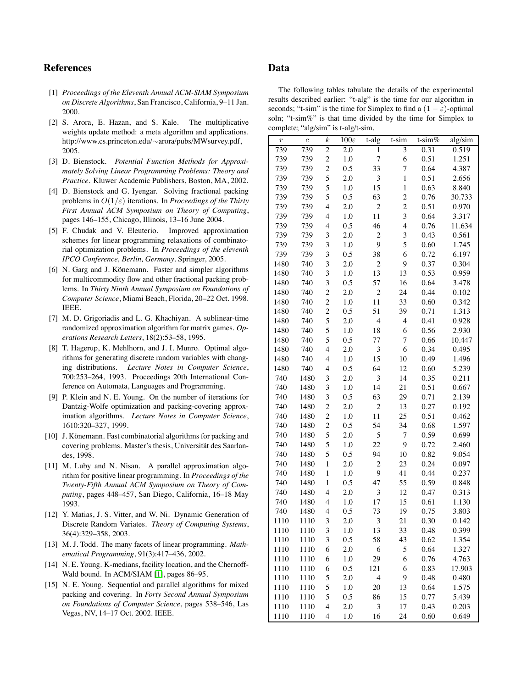# <span id="page-9-14"></span>**References**

- <span id="page-9-1"></span>[1] *Proceedings of the Eleventh Annual ACM-SIAM Symposium on Discrete Algorithms*, San Francisco, California, 9–11 Jan. 2000.
- [2] S. Arora, E. Hazan, and S. Kale. The multiplicative weights update method: a meta algorithm and applications. http://www.cs.princeton.edu/∼arora/pubs/MWsurvey.pdf, 2005.
- <span id="page-9-6"></span><span id="page-9-0"></span>[3] D. Bienstock. *Potential Function Methods for Approximately Solving Linear Programming Problems: Theory and Practice*. Kluwer Academic Publishers, Boston, MA, 2002.
- [4] D. Bienstock and G. Iyengar. Solving fractional packing problems in O(1/ε) iterations. In *Proceedings of the Thirty First Annual ACM Symposium on Theory of Computing*, pages 146–155, Chicago, Illinois, 13–16 June 2004.
- <span id="page-9-7"></span>[5] F. Chudak and V. Eleuterio. Improved approximation schemes for linear programming relaxations of combinatorial optimization problems. In *Proceedings of the eleventh IPCO Conference, Berlin, Germany*. Springer, 2005.
- <span id="page-9-9"></span>[6] N. Garg and J. Könemann. Faster and simpler algorithms for multicommodity flow and other fractional packing problems. In *Thirty Ninth Annual Symposium on Foundations of Computer Science*, Miami Beach, Florida, 20–22 Oct. 1998. IEEE.
- <span id="page-9-4"></span>[7] M. D. Grigoriadis and L. G. Khachiyan. A sublinear-time randomized approximation algorithm for matrix games. *Operations Research Letters*, 18(2):53–58, 1995.
- <span id="page-9-12"></span>[8] T. Hagerup, K. Mehlhorn, and J. I. Munro. Optimal algorithms for generating discrete random variables with changing distributions. *Lecture Notes in Computer Science*, 700:253–264, 1993. Proceedings 20th International Conference on Automata, Languages and Programming.
- <span id="page-9-8"></span>[9] P. Klein and N. E. Young. On the number of iterations for Dantzig-Wolfe optimization and packing-covering approximation algorithms. *Lecture Notes in Computer Science*, 1610:320–327, 1999.
- <span id="page-9-10"></span>[10] J. Könemann. Fast combinatorial algorithms for packing and covering problems. Master's thesis, Universität des Saarlandes, 1998.
- <span id="page-9-5"></span>[11] M. Luby and N. Nisan. A parallel approximation algorithm for positive linear programming. In *Proceedings of the Twenty-Fifth Annual ACM Symposium on Theory of Computing*, pages 448–457, San Diego, California, 16–18 May 1993.
- <span id="page-9-11"></span>[12] Y. Matias, J. S. Vitter, and W. Ni. Dynamic Generation of Discrete Random Variates. *Theory of Computing Systems*, 36(4):329–358, 2003.
- <span id="page-9-13"></span><span id="page-9-2"></span>[13] M. J. Todd. The many facets of linear programming. *Mathematical Programming*, 91(3):417–436, 2002.
- <span id="page-9-3"></span>[14] N. E. Young. K-medians, facility location, and the Chernoff-Wald bound. In ACM/SIAM [\[1\]](#page-9-14), pages 86–95.
- [15] N. E. Young. Sequential and parallel algorithms for mixed packing and covering. In *Forty Second Annual Symposium on Foundations of Computer Science*, pages 538–546, Las Vegas, NV, 14–17 Oct. 2002. IEEE.

### **Data**

The following tables tabulate the details of the experimental results described earlier: "t-alg" is the time for our algorithm in seconds; "t-sim" is the time for Simplex to find a  $(1 - \varepsilon)$ -optimal soln; "t-sim%" is that time divided by the time for Simplex to complete; "alg/sim" is t-alg/t-sim.

| $\,r\,$      | $\boldsymbol{c}$ | $_{k}$                   | $\overline{1}00\varepsilon$ | t-alg                    | t-sim                    | t-sim $%$    | alg/sim |  |  |
|--------------|------------------|--------------------------|-----------------------------|--------------------------|--------------------------|--------------|---------|--|--|
| 739          | 739              | $\overline{c}$           | $\overline{2.0}$            | $\mathbf{1}$             | 3                        | 0.31         | 0.519   |  |  |
| 739          | 739              | $\overline{c}$           | 1.0                         | 7                        | 6                        | 0.51         | 1.251   |  |  |
| 739          | 739              | $\overline{c}$           | 0.5                         | 33                       | 7                        | 0.64         | 4.387   |  |  |
| 739          | 739              | 5                        | 2.0                         | 3                        | $\mathbf{1}$<br>0.51     |              | 2.656   |  |  |
| 739          | 739              | 5                        | $1.0\,$                     | 15                       | $\mathbf{1}$<br>0.63     |              | 8.840   |  |  |
| 739          | 739              | 5                        | 0.5                         | 63                       | $\overline{c}$           | 0.76         | 30.733  |  |  |
| 739          | 739              | $\overline{4}$           | 2.0                         | $\overline{c}$           | $\overline{c}$           | 0.51         | 0.970   |  |  |
| 739          | 739              | $\overline{4}$           | $1.0\,$                     | 11                       | 3                        | 0.64         | 3.317   |  |  |
| 739          | 739              | 4                        | 0.5                         | 46                       | $\overline{\mathcal{L}}$ | 0.76         | 11.634  |  |  |
| 739          | 739              | 3                        | 2.0                         | $\overline{c}$           | 3                        | 0.43         | 0.561   |  |  |
| 739          | 739              | 3                        | $1.0\,$                     | 9                        | 5                        | 0.60         | 1.745   |  |  |
| 739          | 739              | 3                        | 0.5                         | 38                       | 6                        | 0.72         | 6.197   |  |  |
| 1480         | 740              | 3                        | 2.0                         | $\overline{c}$           | 9                        | 0.37         | 0.304   |  |  |
| 1480         | 740              | 3                        | $1.0\,$                     | 13                       | 13                       | 0.53         | 0.959   |  |  |
| 1480         | 740              | 3                        | 0.5                         | 57                       | 16                       | 0.64         | 3.478   |  |  |
| 1480         | 740              | $\overline{c}$           | 2.0                         | $\overline{c}$           | 24                       | 0.44         | 0.102   |  |  |
| 1480         | 740              | $\overline{c}$           | $1.0\,$                     | 11                       | 33                       | 0.60         | 0.342   |  |  |
| 1480         | 740              | $\overline{c}$           | 0.5                         | 51                       | 39                       | 0.71         | 1.313   |  |  |
| 1480         | 740              | 5                        | 2.0                         | $\overline{\mathcal{L}}$ | $\overline{4}$           | 0.41         | 0.928   |  |  |
| 1480         | 740              | 5                        | $1.0\,$                     | 18                       | 6                        | 0.56         | 2.930   |  |  |
| 1480         | 740              | 5                        | 0.5                         | 77                       | 7                        | 0.66         | 10.447  |  |  |
| 1480         | 740              | $\overline{\mathcal{L}}$ | 2.0                         | 3                        | 6                        | 0.34         | 0.495   |  |  |
| 1480         | 740              | $\overline{\mathcal{L}}$ | $1.0\,$                     | 15                       | 10                       | 0.49         | 1.496   |  |  |
| 1480         | 740              | $\overline{\mathcal{L}}$ | 0.5                         | 64                       | 12                       | 0.60         | 5.239   |  |  |
| 740          | 1480             | 3                        | 2.0                         | 3                        | 14                       | 0.35         | 0.211   |  |  |
| 740          | 1480             | 3                        | $1.0\,$                     | 14                       | 21                       | 0.51         | 0.667   |  |  |
| 740          | 1480             | 3                        | 0.5                         | 63                       | 29                       | 0.71         | 2.139   |  |  |
| 740          | 1480             | $\overline{c}$           | 2.0                         | $\overline{c}$           | 13                       | 0.27         | 0.192   |  |  |
| 740          | 1480             | $\overline{c}$           | $1.0\,$                     | 11                       | 25                       | 0.51         | 0.462   |  |  |
| 740          | 1480             | $\overline{c}$           | 0.5                         | 54                       | 34                       | 0.68         | 1.597   |  |  |
| 740          | 1480             | 5                        | 2.0                         | 5                        | $\sqrt{ }$               | 0.59         | 0.699   |  |  |
| 740          | 1480             | 5                        | $1.0\,$                     | 22                       | 9                        | 0.72         | 2.460   |  |  |
| 740          | 1480             | 5                        | 0.5                         | 94                       | 10                       | 0.82         | 9.054   |  |  |
| 740          | 1480             | $\,1$                    | 2.0                         | $\overline{c}$           | 23                       | 0.24         | 0.097   |  |  |
| 740          | 1480             | $\mathbf{1}$             | $1.0\,$                     | 9                        | 41                       | 0.44         | 0.237   |  |  |
| 740          | 1480             | $\mathbf{1}$             | 0.5                         | 47                       | 55                       | 0.59         | 0.848   |  |  |
| 740          | 1480             | $\overline{4}$           | 2.0                         | 3                        | 12                       | 0.47         | 0.313   |  |  |
| 740          | 1480             | $\overline{4}$           | $1.0\,$                     | 17                       | 15                       | 0.61         | 1.130   |  |  |
| 740          | 1480             | $\overline{\mathcal{L}}$ | 0.5                         | 73                       | 19                       | 0.75         | 3.803   |  |  |
| 1110         | 1110             | 3                        | 2.0                         | 3                        | 21                       | 0.30         | 0.142   |  |  |
| 1110         | 1110             | 3                        | 1.0                         | 13                       | 33                       | 0.48         | 0.399   |  |  |
|              |                  | 3                        | 0.5                         | 58                       | 43                       | 0.62         | 1.354   |  |  |
| 1110         | 1110             |                          |                             |                          |                          |              |         |  |  |
| 1110<br>1110 | 1110             | 6<br>6                   | 2.0                         | 6<br>29                  | 5<br>6                   | 0.64<br>0.76 | 1.327   |  |  |
|              | 1110             |                          | 1.0                         |                          |                          |              | 4.763   |  |  |
| 1110         | 1110             | 6                        | 0.5                         | 121<br>$\overline{4}$    | 6<br>9                   | 0.83         | 17.903  |  |  |
| 1110         | 1110             | 5                        | 2.0                         |                          |                          | 0.48         | 0.480   |  |  |
| 1110         | 1110             | 5                        | 1.0                         | 20                       | 13                       | 0.64         | 1.575   |  |  |
| 1110         | 1110             | 5                        | 0.5                         | 86                       | 15                       | 0.77         | 5.439   |  |  |
| 1110         | 1110             | $\overline{4}$           | 2.0                         | 3                        | 17                       | 0.43         | 0.203   |  |  |
| 1110         | 1110             | 4                        | $1.0\,$                     | 16                       | 24                       | 0.60         | 0.649   |  |  |